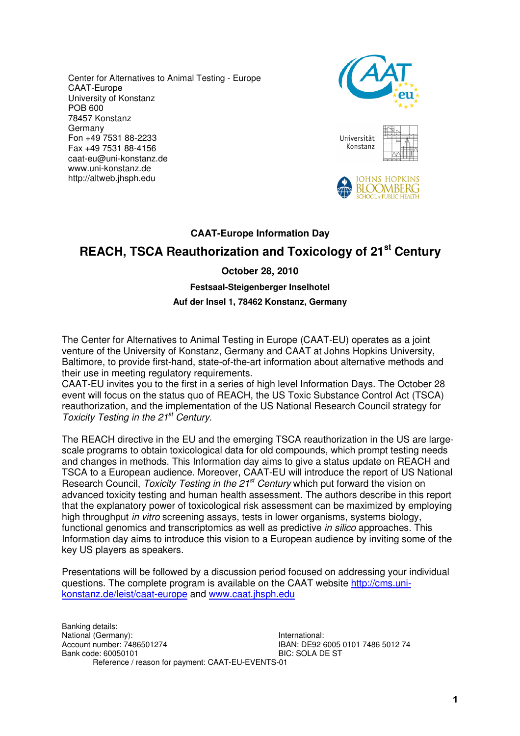Center for Alternatives to Animal Testing - Europe CAAT-Europe University of Konstanz POB 600 78457 Konstanz Germany Fon +49 7531 88-2233 Fax +49 7531 88-4156 caat-eu@uni-konstanz.de www.uni-konstanz.de http://altweb.jhsph.edu



| Universität<br>Konstanz |  |
|-------------------------|--|
|-------------------------|--|



# **CAAT-Europe Information Day**

# **REACH, TSCA Reauthorization and Toxicology of 21st Century**

## **October 28, 2010**

#### **Festsaal-Steigenberger Inselhotel**

#### **Auf der Insel 1, 78462 Konstanz, Germany**

The Center for Alternatives to Animal Testing in Europe (CAAT-EU) operates as a joint venture of the University of Konstanz, Germany and CAAT at Johns Hopkins University, Baltimore, to provide first-hand, state-of-the-art information about alternative methods and their use in meeting regulatory requirements.

CAAT-EU invites you to the first in a series of high level Information Days. The October 28 event will focus on the status quo of REACH, the US Toxic Substance Control Act (TSCA) reauthorization, and the implementation of the US National Research Council strategy for Toxicity Testing in the 21<sup>st</sup> Century.

The REACH directive in the EU and the emerging TSCA reauthorization in the US are largescale programs to obtain toxicological data for old compounds, which prompt testing needs and changes in methods. This Information day aims to give a status update on REACH and TSCA to a European audience. Moreover, CAAT-EU will introduce the report of US National Research Council, Toxicity Testing in the 21<sup>st</sup> Century which put forward the vision on advanced toxicity testing and human health assessment. The authors describe in this report that the explanatory power of toxicological risk assessment can be maximized by employing high throughput in vitro screening assays, tests in lower organisms, systems biology, functional genomics and transcriptomics as well as predictive in silico approaches. This Information day aims to introduce this vision to a European audience by inviting some of the key US players as speakers.

Presentations will be followed by a discussion period focused on addressing your individual questions. The complete program is available on the CAAT website http://cms.unikonstanz.de/leist/caat-europe and www.caat.jhsph.edu

Banking details: National (Germany):<br>
Account number: 7486501274<br>
IBAN: DE92 6 Bank code: 60050101 Reference / reason for payment: CAAT-EU-EVENTS-01

**IBAN: DE92 6005 0101 7486 5012 74<br>BIC: SOLA DE ST**